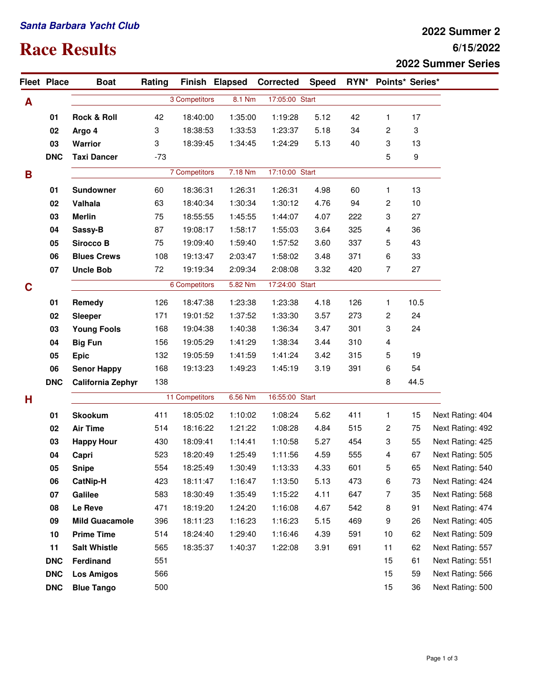## **Santa Barbara Yacht Club**

## **Race Results**

## **6/15/2022 2022 Summer 2 2022 Summer Series**

|   | <b>Fleet Place</b> | <b>Boat</b>              | Rating        |                |         | Finish Elapsed Corrected | <b>Speed</b>   |     | RYN* Points* Series* |      |                  |
|---|--------------------|--------------------------|---------------|----------------|---------|--------------------------|----------------|-----|----------------------|------|------------------|
| A |                    |                          | 3 Competitors |                |         | 8.1 Nm<br>17:05:00 Start |                |     |                      |      |                  |
|   | 01                 | <b>Rock &amp; Roll</b>   | 42            | 18:40:00       | 1:35:00 | 1:19:28                  | 5.12           | 42  | $\mathbf{1}$         | 17   |                  |
|   | 02                 | Argo 4                   | 3             | 18:38:53       | 1:33:53 | 1:23:37                  | 5.18           | 34  | 2                    | 3    |                  |
|   | 03                 | Warrior                  | 3             | 18:39:45       | 1:34:45 | 1:24:29                  | 5.13           | 40  | 3                    | 13   |                  |
|   | <b>DNC</b>         | <b>Taxi Dancer</b>       | $-73$         |                |         |                          |                |     | 5                    | 9    |                  |
| B |                    |                          |               | 7 Competitors  | 7.18 Nm | 17:10:00 Start           |                |     |                      |      |                  |
|   | 01                 | <b>Sundowner</b>         | 60            | 18:36:31       | 1:26:31 | 1:26:31                  | 4.98           | 60  | 1                    | 13   |                  |
|   | 02                 | Valhala                  | 63            | 18:40:34       | 1:30:34 | 1:30:12                  | 4.76           | 94  | 2                    | 10   |                  |
|   | 03                 | <b>Merlin</b>            | 75            | 18:55:55       | 1:45:55 | 1:44:07                  | 4.07           | 222 | 3                    | 27   |                  |
|   | 04                 | Sassy-B                  | 87            | 19:08:17       | 1:58:17 | 1:55:03                  | 3.64           | 325 | 4                    | 36   |                  |
|   | 05                 | <b>Sirocco B</b>         | 75            | 19:09:40       | 1:59:40 | 1:57:52                  | 3.60           | 337 | 5                    | 43   |                  |
|   | 06                 | <b>Blues Crews</b>       | 108           | 19:13:47       | 2:03:47 | 1:58:02                  | 3.48           | 371 | 6                    | 33   |                  |
|   | 07                 | <b>Uncle Bob</b>         | 72            | 19:19:34       | 2:09:34 | 2:08:08                  | 3.32           | 420 | $\overline{7}$       | 27   |                  |
| C |                    |                          | 6 Competitors |                | 5.82 Nm |                          | 17:24:00 Start |     |                      |      |                  |
|   | 01                 | Remedy                   | 126           | 18:47:38       | 1:23:38 | 1:23:38                  | 4.18           | 126 | 1                    | 10.5 |                  |
|   | 02                 | Sleeper                  | 171           | 19:01:52       | 1:37:52 | 1:33:30                  | 3.57           | 273 | $\overline{c}$       | 24   |                  |
|   | 03                 | <b>Young Fools</b>       | 168           | 19:04:38       | 1:40:38 | 1:36:34                  | 3.47           | 301 | 3                    | 24   |                  |
|   | 04                 | <b>Big Fun</b>           | 156           | 19:05:29       | 1:41:29 | 1:38:34                  | 3.44           | 310 | 4                    |      |                  |
|   | 05                 | <b>Epic</b>              | 132           | 19:05:59       | 1:41:59 | 1:41:24                  | 3.42           | 315 | 5                    | 19   |                  |
|   | 06                 | <b>Senor Happy</b>       | 168           | 19:13:23       | 1:49:23 | 1:45:19                  | 3.19           | 391 | 6                    | 54   |                  |
|   | <b>DNC</b>         | <b>California Zephyr</b> | 138           |                |         |                          |                |     | 8                    | 44.5 |                  |
| н |                    |                          |               | 11 Competitors |         | 6.56 Nm                  | 16:55:00 Start |     |                      |      |                  |
|   | 01                 | <b>Skookum</b>           | 411           | 18:05:02       | 1:10:02 | 1:08:24                  | 5.62           | 411 | 1                    | 15   | Next Rating: 404 |
|   | 02                 | <b>Air Time</b>          | 514           | 18:16:22       | 1:21:22 | 1:08:28                  | 4.84           | 515 | 2                    | 75   | Next Rating: 492 |
|   | 03                 | <b>Happy Hour</b>        | 430           | 18:09:41       | 1:14:41 | 1:10:58                  | 5.27           | 454 | 3                    | 55   | Next Rating: 425 |
|   | 04                 | Capri                    | 523           | 18:20:49       | 1:25:49 | 1:11:56                  | 4.59           | 555 | 4                    | 67   | Next Rating: 505 |
|   | 05                 | <b>Snipe</b>             | 554           | 18:25:49       | 1:30:49 | 1:13:33                  | 4.33           | 601 | 5                    | 65   | Next Rating: 540 |
|   | 06                 | <b>CatNip-H</b>          | 423           | 18:11:47       | 1:16:47 | 1:13:50                  | 5.13           | 473 | 6                    | 73   | Next Rating: 424 |
|   | 07                 | Galilee                  | 583           | 18:30:49       | 1:35:49 | 1:15:22                  | 4.11           | 647 | 7                    | 35   | Next Rating: 568 |
|   | 08                 | Le Reve                  | 471           | 18:19:20       | 1:24:20 | 1:16:08                  | 4.67           | 542 | 8                    | 91   | Next Rating: 474 |
|   | 09                 | <b>Mild Guacamole</b>    | 396           | 18:11:23       | 1:16:23 | 1:16:23                  | 5.15           | 469 | 9                    | 26   | Next Rating: 405 |
|   | 10                 | <b>Prime Time</b>        | 514           | 18:24:40       | 1:29:40 | 1:16:46                  | 4.39           | 591 | 10                   | 62   | Next Rating: 509 |
|   | 11                 | <b>Salt Whistle</b>      | 565           | 18:35:37       | 1:40:37 | 1:22:08                  | 3.91           | 691 | 11                   | 62   | Next Rating: 557 |
|   | <b>DNC</b>         | Ferdinand                | 551           |                |         |                          |                |     | 15                   | 61   | Next Rating: 551 |
|   | <b>DNC</b>         | <b>Los Amigos</b>        | 566           |                |         |                          |                |     | 15                   | 59   | Next Rating: 566 |
|   | <b>DNC</b>         | <b>Blue Tango</b>        | 500           |                |         |                          |                |     | 15                   | 36   | Next Rating: 500 |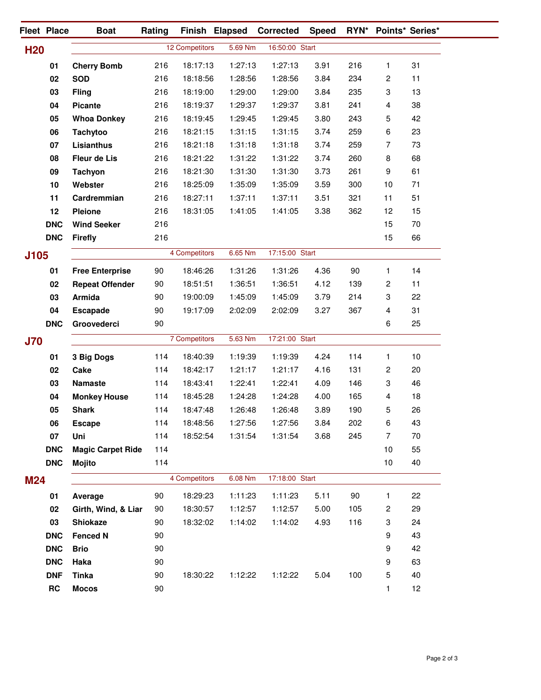|            | Fleet Place | <b>Boat</b>              | Rating |                | Finish Elapsed | Corrected      | <b>Speed</b> |     | RYN* Points* Series*      |    |
|------------|-------------|--------------------------|--------|----------------|----------------|----------------|--------------|-----|---------------------------|----|
| <b>H20</b> |             |                          |        | 12 Competitors | 5.69 Nm        | 16:50:00 Start |              |     |                           |    |
|            | 01          | <b>Cherry Bomb</b>       | 216    | 18:17:13       | 1:27:13        | 1:27:13        | 3.91         | 216 | $\mathbf{1}$              | 31 |
|            | 02          | <b>SOD</b>               | 216    | 18:18:56       | 1:28:56        | 1:28:56        | 3.84         | 234 | $\overline{c}$            | 11 |
|            | 03          | <b>Fling</b>             | 216    | 18:19:00       | 1:29:00        | 1:29:00        | 3.84         | 235 | 3                         | 13 |
|            | 04          | <b>Picante</b>           | 216    | 18:19:37       | 1:29:37        | 1:29:37        | 3.81         | 241 | $\overline{\mathbf{4}}$   | 38 |
|            | 05          | <b>Whoa Donkey</b>       | 216    | 18:19:45       | 1:29:45        | 1:29:45        | 3.80         | 243 | 5                         | 42 |
|            | 06          | <b>Tachytoo</b>          | 216    | 18:21:15       | 1:31:15        | 1:31:15        | 3.74         | 259 | 6                         | 23 |
|            | 07          | Lisianthus               | 216    | 18:21:18       | 1:31:18        | 1:31:18        | 3.74         | 259 | $\overline{7}$            | 73 |
|            | 08          | Fleur de Lis             | 216    | 18:21:22       | 1:31:22        | 1:31:22        | 3.74         | 260 | 8                         | 68 |
|            | 09          | Tachyon                  | 216    | 18:21:30       | 1:31:30        | 1:31:30        | 3.73         | 261 | $\boldsymbol{9}$          | 61 |
|            | 10          | Webster                  | 216    | 18:25:09       | 1:35:09        | 1:35:09        | 3.59         | 300 | 10                        | 71 |
|            | 11          | Cardremmian              | 216    | 18:27:11       | 1:37:11        | 1:37:11        | 3.51         | 321 | 11                        | 51 |
|            | 12          | <b>Pleione</b>           | 216    | 18:31:05       | 1:41:05        | 1:41:05        | 3.38         | 362 | 12                        | 15 |
|            | <b>DNC</b>  | <b>Wind Seeker</b>       | 216    |                |                |                |              |     | 15                        | 70 |
|            | <b>DNC</b>  | <b>Firefly</b>           | 216    |                |                |                |              |     | 15                        | 66 |
| J105       |             |                          |        | 4 Competitors  | 6.65 Nm        | 17:15:00 Start |              |     |                           |    |
|            | 01          | <b>Free Enterprise</b>   | 90     | 18:46:26       | 1:31:26        | 1:31:26        | 4.36         | 90  | $\mathbf{1}$              | 14 |
|            | 02          | <b>Repeat Offender</b>   | 90     | 18:51:51       | 1:36:51        | 1:36:51        | 4.12         | 139 | $\overline{c}$            | 11 |
|            | 03          | Armida                   | 90     | 19:00:09       | 1:45:09        | 1:45:09        | 3.79         | 214 | 3                         | 22 |
|            | 04          | <b>Escapade</b>          | 90     | 19:17:09       | 2:02:09        | 2:02:09        | 3.27         | 367 | $\overline{\mathbf{4}}$   | 31 |
|            | <b>DNC</b>  | Groovederci              | 90     |                |                |                |              |     | 6                         | 25 |
|            |             |                          |        | 7 Competitors  | 5.63 Nm        | 17:21:00 Start |              |     |                           |    |
| <b>J70</b> |             |                          |        |                |                |                |              |     |                           |    |
|            | 01          | 3 Big Dogs               | 114    | 18:40:39       | 1:19:39        | 1:19:39        | 4.24         | 114 | 1                         | 10 |
|            | 02          | Cake                     | 114    | 18:42:17       | 1:21:17        | 1:21:17        | 4.16         | 131 | $\overline{c}$            | 20 |
|            | 03          | <b>Namaste</b>           | 114    | 18:43:41       | 1:22:41        | 1:22:41        | 4.09         | 146 | 3                         | 46 |
|            | 04          | <b>Monkey House</b>      | 114    | 18:45:28       | 1:24:28        | 1:24:28        | 4.00         | 165 | 4                         | 18 |
|            | 05          | <b>Shark</b>             | 114    | 18:47:48       | 1:26:48        | 1:26:48        | 3.89         | 190 | 5                         | 26 |
|            | 06          | <b>Escape</b>            | 114    | 18:48:56       | 1:27:56        | 1:27:56        | 3.84         | 202 | 6                         | 43 |
|            | 07          | Uni                      | 114    | 18:52:54       | 1:31:54        | 1:31:54        | 3.68         | 245 | 7                         | 70 |
|            | <b>DNC</b>  | <b>Magic Carpet Ride</b> | 114    |                |                |                |              |     | 10                        | 55 |
|            | <b>DNC</b>  | <b>Mojito</b>            | 114    |                |                |                |              |     | 10                        | 40 |
| <b>M24</b> |             |                          |        | 4 Competitors  | 6.08 Nm        | 17:18:00 Start |              |     |                           |    |
|            | 01          | Average                  | 90     | 18:29:23       | 1:11:23        | 1:11:23        | 5.11         | 90  | 1                         | 22 |
|            | 02          | Girth, Wind, & Liar      | 90     | 18:30:57       | 1:12:57        | 1:12:57        | 5.00         | 105 | $\overline{c}$            | 29 |
|            | 03          | <b>Shiokaze</b>          | 90     | 18:32:02       | 1:14:02        | 1:14:02        | 4.93         | 116 | $\ensuremath{\mathsf{3}}$ | 24 |
|            | <b>DNC</b>  | <b>Fenced N</b>          | 90     |                |                |                |              |     | 9                         | 43 |
|            | <b>DNC</b>  | <b>Brio</b>              | 90     |                |                |                |              |     | 9                         | 42 |
|            | <b>DNC</b>  | Haka                     | 90     |                |                |                |              |     | 9                         | 63 |
|            | <b>DNF</b>  | <b>Tinka</b>             | 90     | 18:30:22       | 1:12:22        | 1:12:22        | 5.04         | 100 | 5                         | 40 |
|            | RC          | <b>Mocos</b>             | 90     |                |                |                |              |     | 1                         | 12 |